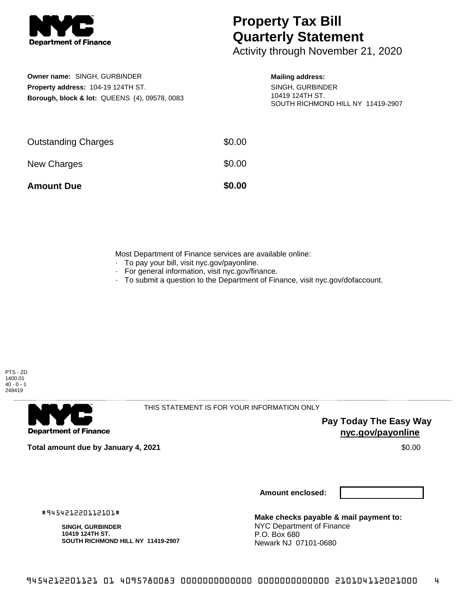

# **Property Tax Bill Quarterly Statement**

Activity through November 21, 2020

## **Owner name:** SINGH, GURBINDER **Property address:** 104-19 124TH ST. **Borough, block & lot:** QUEENS (4), 09578, 0083

#### **Mailing address:**

SINGH, GURBINDER 10419 124TH ST. SOUTH RICHMOND HILL NY 11419-2907

| <b>Amount Due</b>          | \$0.00 |
|----------------------------|--------|
| New Charges                | \$0.00 |
| <b>Outstanding Charges</b> | \$0.00 |

Most Department of Finance services are available online:

- · To pay your bill, visit nyc.gov/payonline.
- For general information, visit nyc.gov/finance.
- · To submit a question to the Department of Finance, visit nyc.gov/dofaccount.



. . . . . . . . . . . . . . . .

**Department of Finance** 

THIS STATEMENT IS FOR YOUR INFORMATION ONLY

**Pay Today The Easy Way nyc.gov/payonline**

**Total amount due by January 4, 2021** \$0.00

**Amount enclosed:**

#945421220112101#

**SINGH, GURBINDER 10419 124TH ST. SOUTH RICHMOND HILL NY 11419-2907**

**Make checks payable & mail payment to:** NYC Department of Finance P.O. Box 680 Newark NJ 07101-0680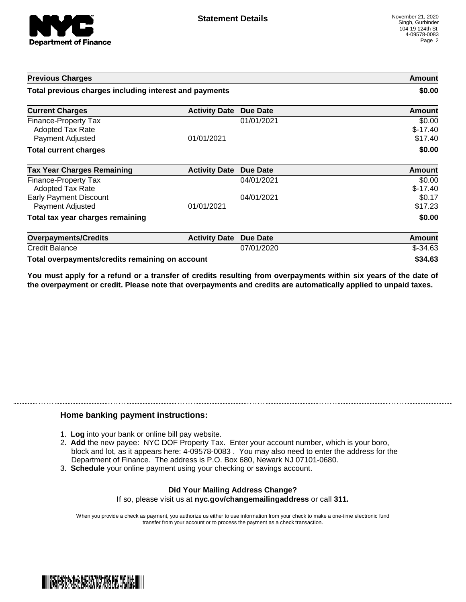

| <b>Previous Charges</b>                                             |                      | Amount<br>\$0.00 |                                |
|---------------------------------------------------------------------|----------------------|------------------|--------------------------------|
| Total previous charges including interest and payments              |                      |                  |                                |
| <b>Current Charges</b>                                              | <b>Activity Date</b> | <b>Due Date</b>  | Amount                         |
| Finance-Property Tax<br><b>Adopted Tax Rate</b><br>Payment Adjusted | 01/01/2021           | 01/01/2021       | \$0.00<br>$$-17.40$<br>\$17.40 |
| <b>Total current charges</b>                                        |                      |                  | \$0.00                         |
| <b>Tax Year Charges Remaining</b>                                   | <b>Activity Date</b> | <b>Due Date</b>  | <b>Amount</b>                  |
| Finance-Property Tax<br><b>Adopted Tax Rate</b>                     |                      | 04/01/2021       | \$0.00<br>$$-17.40$            |
| <b>Early Payment Discount</b><br>Payment Adjusted                   | 01/01/2021           | 04/01/2021       | \$0.17<br>\$17.23              |
| Total tax year charges remaining                                    |                      |                  | \$0.00                         |
| <b>Overpayments/Credits</b>                                         | <b>Activity Date</b> | <b>Due Date</b>  | <b>Amount</b>                  |
| <b>Credit Balance</b>                                               |                      | 07/01/2020       | $$-34.63$                      |
| Total overpayments/credits remaining on account                     |                      |                  | \$34.63                        |

You must apply for a refund or a transfer of credits resulting from overpayments within six years of the date of **the overpayment or credit. Please note that overpayments and credits are automatically applied to unpaid taxes.**

### **Home banking payment instructions:**

- 1. **Log** into your bank or online bill pay website.
- 2. **Add** the new payee: NYC DOF Property Tax. Enter your account number, which is your boro, block and lot, as it appears here: 4-09578-0083 . You may also need to enter the address for the Department of Finance. The address is P.O. Box 680, Newark NJ 07101-0680.
- 3. **Schedule** your online payment using your checking or savings account.

#### **Did Your Mailing Address Change?** If so, please visit us at **nyc.gov/changemailingaddress** or call **311.**

When you provide a check as payment, you authorize us either to use information from your check to make a one-time electronic fund transfer from your account or to process the payment as a check transaction.